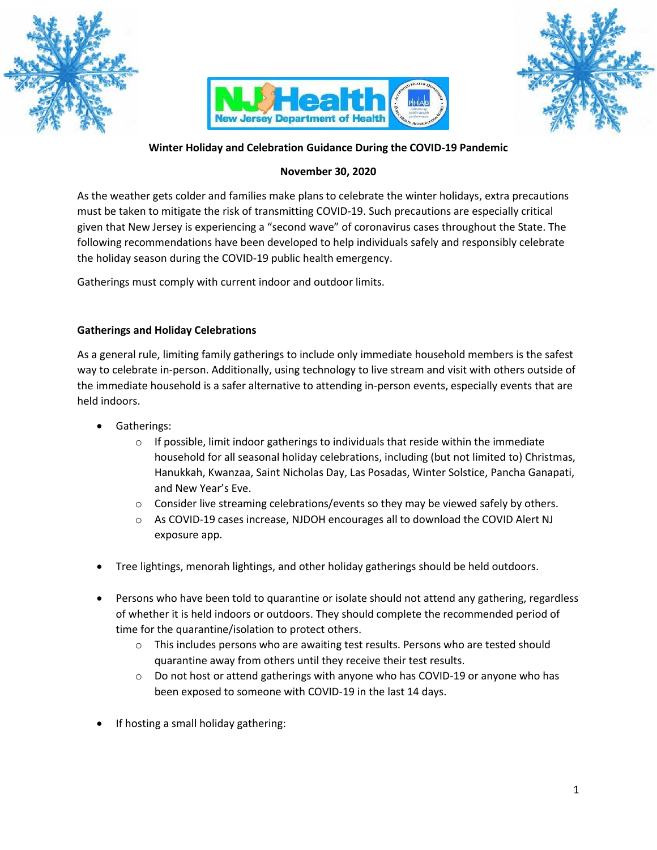





# **Winter Holiday and Celebration Guidance During the COVID-19 Pandemic**

### **November 30, 2020**

As the weather gets colder and families make plans to celebrate the winter holidays, extra precautions must be taken to mitigate the risk of transmitting COVID-19. Such precautions are especially critical given that New Jersey is experiencing a "second wave" of coronavirus cases throughout the State. The following recommendations have been developed to help individuals safely and responsibly celebrate the holiday season during the COVID-19 public health emergency.

Gatherings must comply with current indoor and outdoor limits.

### **Gatherings and Holiday Celebrations**

As a general rule, limiting family gatherings to include only immediate household members is the safest way to celebrate in-person. Additionally, using technology to live stream and visit with others outside of the immediate household is a safer alternative to attending in-person events, especially events that are held indoors.

- Gatherings:
	- $\circ$  If possible, limit indoor gatherings to individuals that reside within the immediate household for all seasonal holiday celebrations, including (but not limited to) Christmas, Hanukkah, Kwanzaa, Saint Nicholas Day, Las Posadas, Winter Solstice, Pancha Ganapati, and New Year's Eve.
	- $\circ$  Consider live streaming celebrations/events so they may be viewed safely by others.
	- o As COVID-19 cases increase, NJDOH encourages all to download the COVID Alert NJ exposure app.
- Tree lightings, menorah lightings, and other holiday gatherings should be held outdoors.
- Persons who have been told to quarantine or isolate should not attend any gathering, regardless of whether it is held indoors or outdoors. They should complete the recommended period of time for the quarantine/isolation to protect others.
	- $\circ$  This includes persons who are awaiting test results. Persons who are tested should quarantine away from others until they receive their test results.
	- $\circ$  Do not host or attend gatherings with anyone who has COVID-19 or anyone who has been exposed to someone with COVID-19 in the last 14 days.
- If hosting a small holiday gathering: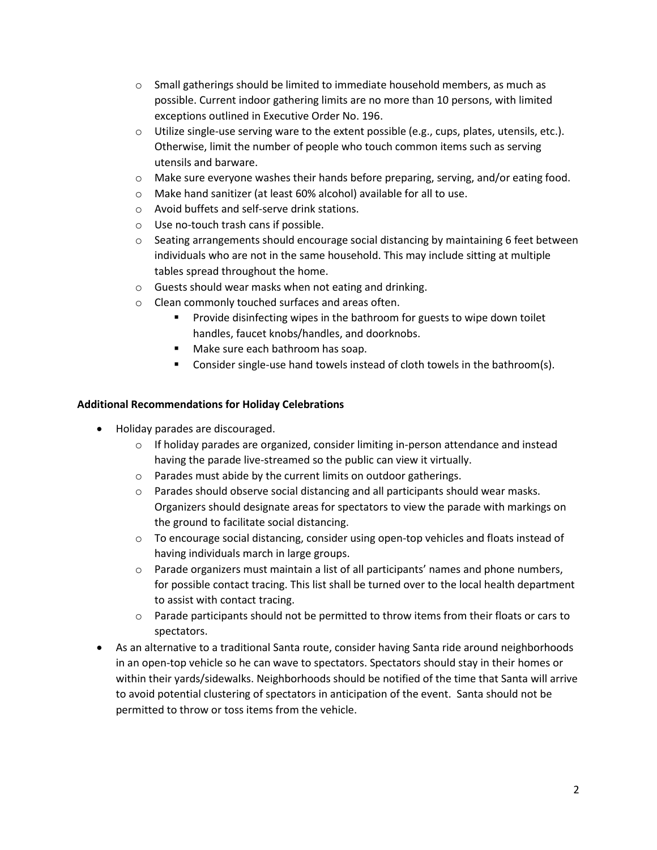- $\circ$  Small gatherings should be limited to immediate household members, as much as possible. Current indoor gathering limits are no more than 10 persons, with limited exceptions outlined in Executive Order No. 196.
- $\circ$  Utilize single-use serving ware to the extent possible (e.g., cups, plates, utensils, etc.). Otherwise, limit the number of people who touch common items such as serving utensils and barware.
- $\circ$  Make sure everyone washes their hands before preparing, serving, and/or eating food.
- o Make hand sanitizer (at least 60% alcohol) available for all to use.
- o Avoid buffets and self-serve drink stations.
- o Use no-touch trash cans if possible.
- $\circ$  Seating arrangements should encourage social distancing by maintaining 6 feet between individuals who are not in the same household. This may include sitting at multiple tables spread throughout the home.
- o Guests should wear masks when not eating and drinking.
- o Clean commonly touched surfaces and areas often.
	- Provide disinfecting wipes in the bathroom for guests to wipe down toilet handles, faucet knobs/handles, and doorknobs.
	- Make sure each bathroom has soap.
	- Consider single-use hand towels instead of cloth towels in the bathroom(s).

#### **Additional Recommendations for Holiday Celebrations**

- Holiday parades are discouraged.
	- $\circ$  If holiday parades are organized, consider limiting in-person attendance and instead having the parade live-streamed so the public can view it virtually.
	- o Parades must abide by the current limits on outdoor gatherings.
	- $\circ$  Parades should observe social distancing and all participants should wear masks. Organizers should designate areas for spectators to view the parade with markings on the ground to facilitate social distancing.
	- $\circ$  To encourage social distancing, consider using open-top vehicles and floats instead of having individuals march in large groups.
	- $\circ$  Parade organizers must maintain a list of all participants' names and phone numbers, for possible contact tracing. This list shall be turned over to the local health department to assist with contact tracing.
	- $\circ$  Parade participants should not be permitted to throw items from their floats or cars to spectators.
- As an alternative to a traditional Santa route, consider having Santa ride around neighborhoods in an open-top vehicle so he can wave to spectators. Spectators should stay in their homes or within their yards/sidewalks. Neighborhoods should be notified of the time that Santa will arrive to avoid potential clustering of spectators in anticipation of the event. Santa should not be permitted to throw or toss items from the vehicle.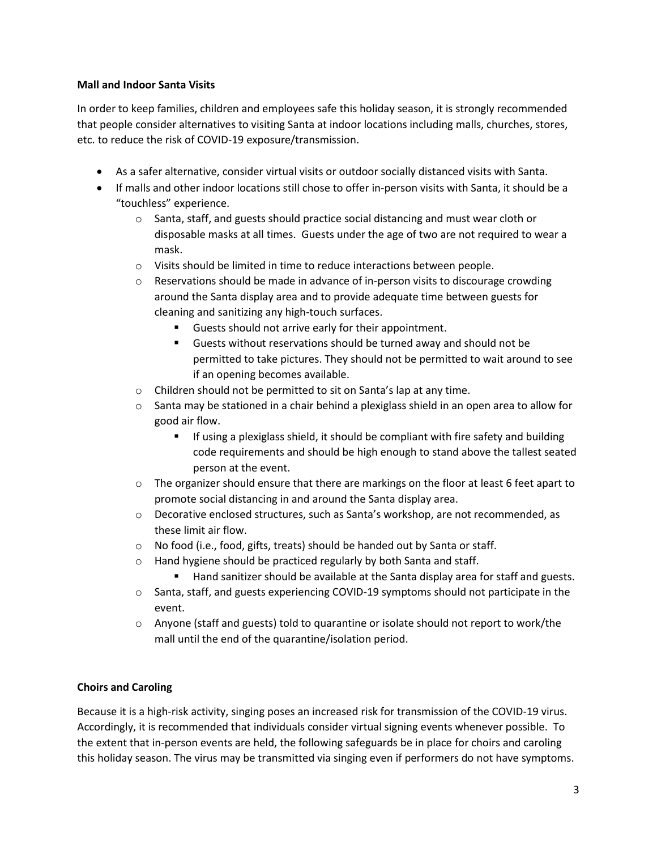### **Mall and Indoor Santa Visits**

In order to keep families, children and employees safe this holiday season, it is strongly recommended that people consider alternatives to visiting Santa at indoor locations including malls, churches, stores, etc. to reduce the risk of COVID-19 exposure/transmission.

- As a safer alternative, consider virtual visits or outdoor socially distanced visits with Santa.
- If malls and other indoor locations still chose to offer in-person visits with Santa, it should be a "touchless" experience.
	- $\circ$  Santa, staff, and guests should practice social distancing and must wear cloth or disposable masks at all times. Guests under the age of two are not required to wear a mask.
	- o Visits should be limited in time to reduce interactions between people.
	- $\circ$  Reservations should be made in advance of in-person visits to discourage crowding around the Santa display area and to provide adequate time between guests for cleaning and sanitizing any high-touch surfaces.
		- Guests should not arrive early for their appointment.
		- Guests without reservations should be turned away and should not be permitted to take pictures. They should not be permitted to wait around to see if an opening becomes available.
	- o Children should not be permitted to sit on Santa's lap at any time.
	- $\circ$  Santa may be stationed in a chair behind a plexiglass shield in an open area to allow for good air flow.
		- **E** If using a plexiglass shield, it should be compliant with fire safety and building code requirements and should be high enough to stand above the tallest seated person at the event.
	- $\circ$  The organizer should ensure that there are markings on the floor at least 6 feet apart to promote social distancing in and around the Santa display area.
	- $\circ$  Decorative enclosed structures, such as Santa's workshop, are not recommended, as these limit air flow.
	- o No food (i.e., food, gifts, treats) should be handed out by Santa or staff.
	- o Hand hygiene should be practiced regularly by both Santa and staff.
		- Hand sanitizer should be available at the Santa display area for staff and guests.
	- o Santa, staff, and guests experiencing COVID-19 symptoms should not participate in the event.
	- $\circ$  Anyone (staff and guests) told to quarantine or isolate should not report to work/the mall until the end of the quarantine/isolation period.

## **Choirs and Caroling**

Because it is a high-risk activity, singing poses an increased risk for transmission of the COVID-19 virus. Accordingly, it is recommended that individuals consider virtual signing events whenever possible. To the extent that in-person events are held, the following safeguards be in place for choirs and caroling this holiday season. The virus may be transmitted via singing even if performers do not have symptoms.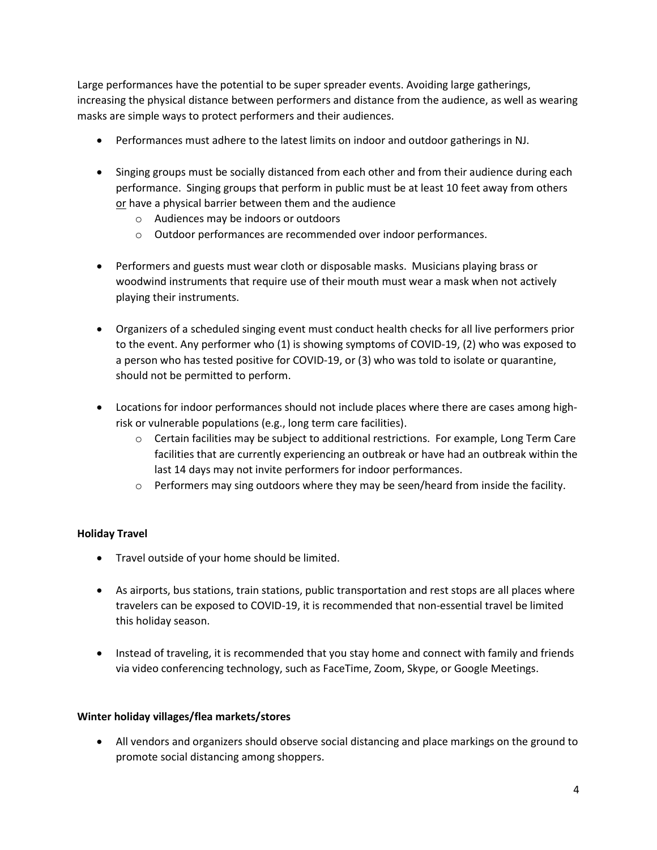Large performances have the potential to be super spreader events. Avoiding large gatherings, increasing the physical distance between performers and distance from the audience, as well as wearing masks are simple ways to protect performers and their audiences.

- Performances must adhere to the latest limits on indoor and outdoor gatherings in NJ.
- Singing groups must be socially distanced from each other and from their audience during each performance. Singing groups that perform in public must be at least 10 feet away from others or have a physical barrier between them and the audience
	- o Audiences may be indoors or outdoors
	- o Outdoor performances are recommended over indoor performances.
- Performers and guests must wear cloth or disposable masks. Musicians playing brass or woodwind instruments that require use of their mouth must wear a mask when not actively playing their instruments.
- Organizers of a scheduled singing event must conduct health checks for all live performers prior to the event. Any performer who (1) is showing symptoms of COVID-19, (2) who was exposed to a person who has tested positive for COVID-19, or (3) who was told to isolate or quarantine, should not be permitted to perform.
- Locations for indoor performances should not include places where there are cases among highrisk or vulnerable populations (e.g., long term care facilities).
	- $\circ$  Certain facilities may be subject to additional restrictions. For example, Long Term Care facilities that are currently experiencing an outbreak or have had an outbreak within the last 14 days may not invite performers for indoor performances.
	- $\circ$  Performers may sing outdoors where they may be seen/heard from inside the facility.

## **Holiday Travel**

- Travel outside of your home should be limited.
- As airports, bus stations, train stations, public transportation and rest stops are all places where travelers can be exposed to COVID-19, it is recommended that non-essential travel be limited this holiday season.
- Instead of traveling, it is recommended that you stay home and connect with family and friends via video conferencing technology, such as FaceTime, Zoom, Skype, or Google Meetings.

#### **Winter holiday villages/flea markets/stores**

• All vendors and organizers should observe social distancing and place markings on the ground to promote social distancing among shoppers.